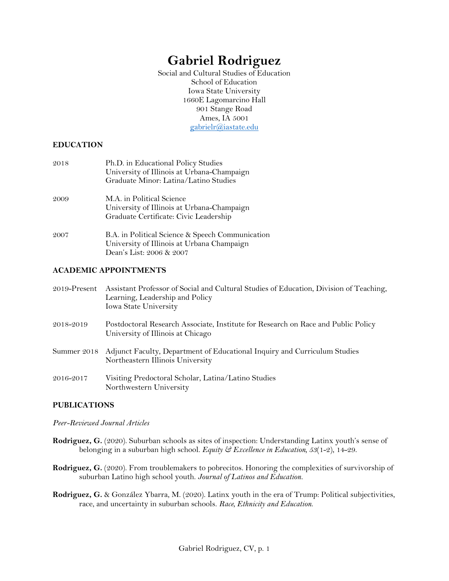# **Gabriel Rodriguez**

Social and Cultural Studies of Education School of Education Iowa State University 1660E Lagomarcino Hall 901 Stange Road Ames, IA 5001 gabrielr@iastate.edu

## **EDUCATION**

| 2018 | Ph.D. in Educational Policy Studies<br>University of Illinois at Urbana-Champaign                                          |
|------|----------------------------------------------------------------------------------------------------------------------------|
|      | Graduate Minor: Latina/Latino Studies                                                                                      |
| 2009 | M.A. in Political Science<br>University of Illinois at Urbana-Champaign<br>Graduate Certificate: Civic Leadership          |
| 2007 | B.A. in Political Science & Speech Communication<br>University of Illinois at Urbana Champaign<br>Dean's List: 2006 & 2007 |

## **ACADEMIC APPOINTMENTS**

| $2019$ -Present | Assistant Professor of Social and Cultural Studies of Education, Division of Teaching,<br>Learning, Leadership and Policy<br>Iowa State University |
|-----------------|----------------------------------------------------------------------------------------------------------------------------------------------------|
| 2018-2019       | Postdoctoral Research Associate, Institute for Research on Race and Public Policy<br>University of Illinois at Chicago                             |
|                 | Summer 2018 Adjunct Faculty, Department of Educational Inquiry and Curriculum Studies<br>Northeastern Illinois University                          |
| 2016-2017       | Visiting Predoctoral Scholar, Latina/Latino Studies<br>Northwestern University                                                                     |

## **PUBLICATIONS**

#### *Peer-Reviewed Journal Articles*

- **Rodriguez, G.** (2020). Suburban schools as sites of inspection: Understanding Latinx youth's sense of belonging in a suburban high school. *Equity & Excellence in Education, 53*(1-2), 14-29.
- **Rodriguez, G.** (2020). From troublemakers to pobrecitos. Honoring the complexities of survivorship of suburban Latino high school youth. *Journal of Latinos and Education.*
- **Rodriguez, G.** & González Ybarra, M. (2020). Latinx youth in the era of Trump: Political subjectivities, race, and uncertainty in suburban schools. *Race, Ethnicity and Education*.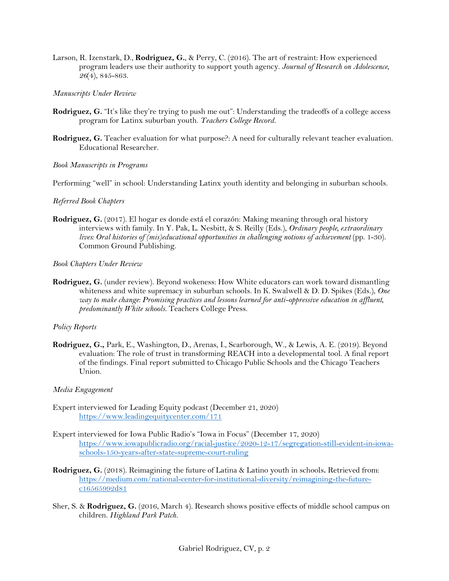Larson, R. Izenstark, D., **Rodriguez, G.**, & Perry, C. (2016). The art of restraint: How experienced program leaders use their authority to support youth agency. *Journal of Research on Adolescence, 26*(4), 845-863.

#### *Manuscripts Under Review*

- **Rodriguez, G.** "It's like they're trying to push me out": Understanding the tradeoffs of a college access program for Latinx suburban youth. *Teachers College Record.*
- **Rodriguez, G.** Teacher evaluation for what purpose?: A need for culturally relevant teacher evaluation. Educational Researcher.

#### *Book Manuscripts in Programs*

Performing "well" in school: Understanding Latinx youth identity and belonging in suburban schools.

#### *Referred Book Chapters*

**Rodriguez, G.** (2017). El hogar es donde está el corazón: Making meaning through oral history interviews with family. In Y. Pak, L. Nesbitt, & S. Reilly (Eds.), *Ordinary people, extraordinary lives:* Oral histories of (mis)educational opportunities in challenging notions of achievement (pp. 1-30). Common Ground Publishing.

*Book Chapters Under Review*

**Rodriguez, G.** (under review). Beyond wokeness: How White educators can work toward dismantling whiteness and white supremacy in suburban schools. In K. Swalwell & D. D. Spikes (Eds.), *One way to make change: Promising practices and lessons learned for anti-oppressive education in affluent, predominantly White schools.* Teachers College Press.

#### *Policy Reports*

**Rodriguez, G.,** Park, E., Washington, D., Arenas, I., Scarborough, W., & Lewis, A. E. (2019). Beyond evaluation: The role of trust in transforming REACH into a developmental tool. A final report of the findings. Final report submitted to Chicago Public Schools and the Chicago Teachers Union.

#### *Media Engagement*

- Expert interviewed for Leading Equity podcast (December 21, 2020) https://www.leadingequitycenter.com/171
- Expert interviewed for Iowa Public Radio's "Iowa in Focus" (December 17, 2020) https://www.iowapublicradio.org/racial-justice/2020-12-17/segregation-still-evident-in-iowaschools-150-years-after-state-supreme-court-ruling
- **Rodriguez, G.** (2018). Reimagining the future of Latina & Latino youth in schools**.** Retrieved from: https://medium.com/national-center-for-institutional-diversity/reimagining-the-futurec16565992d81
- Sher, S. & **Rodriguez, G.** (2016, March 4). Research shows positive effects of middle school campus on children. *Highland Park Patch.*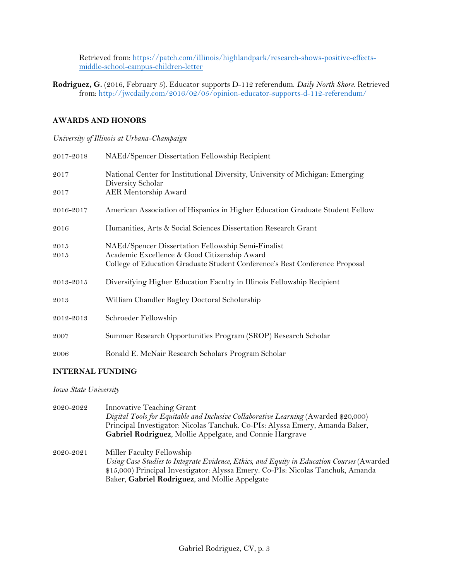Retrieved from: https://patch.com/illinois/highlandpark/research-shows-positive-effectsmiddle-school-campus-children-letter

**Rodriguez, G.** (2016, February 5). Educator supports D-112 referendum. *Daily North Shore.* Retrieved from: http://jwcdaily.com/2016/02/05/opinion-educator-supports-d-112-referendum/

## **AWARDS AND HONORS**

### *University of Illinois at Urbana-Champaign*

| 2017-2018 | NAEd/Spencer Dissertation Fellowship Recipient                                                     |
|-----------|----------------------------------------------------------------------------------------------------|
| 2017      | National Center for Institutional Diversity, University of Michigan: Emerging<br>Diversity Scholar |
| 2017      | <b>AER Mentorship Award</b>                                                                        |
| 2016-2017 | American Association of Hispanics in Higher Education Graduate Student Fellow                      |
| 2016      | Humanities, Arts & Social Sciences Dissertation Research Grant                                     |
| 2015      | NAEd/Spencer Dissertation Fellowship Semi-Finalist                                                 |
| 2015      | Academic Excellence & Good Citizenship Award                                                       |
|           | College of Education Graduate Student Conference's Best Conference Proposal                        |
| 2013-2015 | Diversifying Higher Education Faculty in Illinois Fellowship Recipient                             |
| 2013      | William Chandler Bagley Doctoral Scholarship                                                       |
| 2012-2013 | Schroeder Fellowship                                                                               |
| 2007      | Summer Research Opportunities Program (SROP) Research Scholar                                      |
| 2006      | Ronald E. McNair Research Scholars Program Scholar                                                 |

## **INTERNAL FUNDING**

*Iowa State University*

- 2020-2022 Innovative Teaching Grant *Digital Tools for Equitable and Inclusive Collaborative Learning* (Awarded \$20,000) Principal Investigator: Nicolas Tanchuk. Co-PIs: Alyssa Emery, Amanda Baker, **Gabriel Rodriguez**, Mollie Appelgate, and Connie Hargrave
- 2020-2021 Miller Faculty Fellowship *Using Case Studies to Integrate Evidence, Ethics, and Equity in Education Courses* (Awarded \$15,000) Principal Investigator: Alyssa Emery. Co-PIs: Nicolas Tanchuk, Amanda Baker, **Gabriel Rodriguez**, and Mollie Appelgate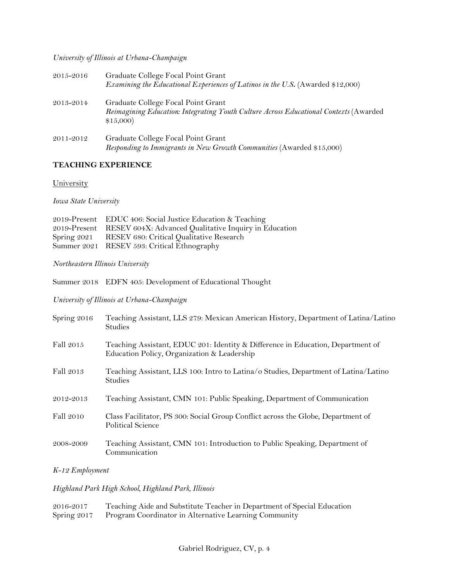### *University of Illinois at Urbana-Champaign*

| 2015-2016 | Graduate College Focal Point Grant<br>Examining the Educational Experiences of Latinos in the U.S. (Awarded \$12,000)                   |
|-----------|-----------------------------------------------------------------------------------------------------------------------------------------|
| 2013-2014 | Graduate College Focal Point Grant<br>Reimagining Education: Integrating Youth Culture Across Educational Contexts (Awarded<br>\$15,000 |
| 2011-2012 | Graduate College Focal Point Grant<br>Responding to Immigrants in New Growth Communities (Awarded \$15,000)                             |

## **TEACHING EXPERIENCE**

**University** 

*Iowa State University* 

| 2019-Present EDUC 406: Social Justice Education & Teaching         |
|--------------------------------------------------------------------|
| 2019-Present RESEV 604X: Advanced Qualitative Inquiry in Education |
| Spring 2021 RESEV 680: Critical Qualitative Research               |
| Summer 2021 RESEV 593: Critical Ethnography                        |
|                                                                    |

*Northeastern Illinois University* 

Summer 2018 EDFN 405: Development of Educational Thought

*University of Illinois at Urbana-Champaign*

| Spring 2016 | Teaching Assistant, LLS 279: Mexican American History, Department of Latina/Latino<br><b>Studies</b>                           |
|-------------|--------------------------------------------------------------------------------------------------------------------------------|
| Fall 2015   | Teaching Assistant, EDUC 201: Identity & Difference in Education, Department of<br>Education Policy, Organization & Leadership |
| Fall 2013   | Teaching Assistant, LLS 100: Intro to Latina/o Studies, Department of Latina/Latino<br><b>Studies</b>                          |
| 2012-2013   | Teaching Assistant, CMN 101: Public Speaking, Department of Communication                                                      |
| Fall 2010   | Class Facilitator, PS 300: Social Group Conflict across the Globe, Department of<br><b>Political Science</b>                   |
| 2008-2009   | Teaching Assistant, CMN 101: Introduction to Public Speaking, Department of<br>Communication                                   |

*K-12 Employment*

## *Highland Park High School, Highland Park, Illinois*

| 2016-2017 | Teaching Aide and Substitute Teacher in Department of Special Education |
|-----------|-------------------------------------------------------------------------|
|           | Spring 2017 Program Coordinator in Alternative Learning Community       |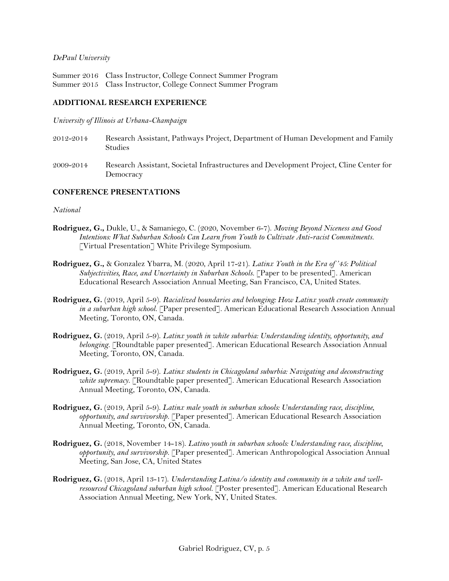#### *DePaul University*

Summer 2016 Class Instructor, College Connect Summer Program Summer 2015 Class Instructor, College Connect Summer Program

#### **ADDITIONAL RESEARCH EXPERIENCE**

*University of Illinois at Urbana-Champaign*

- 2012-2014 Research Assistant, Pathways Project, Department of Human Development and Family **Studies**
- 2009-2014 Research Assistant, Societal Infrastructures and Development Project, Cline Center for Democracy

#### **CONFERENCE PRESENTATIONS**

#### *National*

- **Rodriguez, G.,** Dukle, U., & Samaniego, C. (2020, November 6-7). *Moving Beyond Niceness and Good Intentions: What Suburban Schools Can Learn from Youth to Cultivate Anti-racist Commitments.*  [Virtual Presentation] White Privilege Symposium.
- **Rodriguez, G.,** & Gonzalez Ybarra, M. (2020, April 17-21). *Latinx Youth in the Era of '45: Political Subjectivities, Race, and Uncertainty in Suburban Schools.* [Paper to be presented]. American Educational Research Association Annual Meeting, San Francisco, CA, United States.
- **Rodriguez, G.** (2019, April 5-9). *Racialized boundaries and belonging: How Latinx youth create community in a suburban high school.* [Paper presented]. American Educational Research Association Annual Meeting, Toronto, ON, Canada.
- **Rodriguez, G.** (2019, April 5-9). *Latinx youth in white suburbia: Understanding identity, opportunity, and belonging.* [Roundtable paper presented]. American Educational Research Association Annual Meeting, Toronto, ON, Canada.
- **Rodriguez, G.** (2019, April 5-9). *Latinx students in Chicagoland suburbia: Navigating and deconstructing white supremacy.* [Roundtable paper presented]. American Educational Research Association Annual Meeting, Toronto, ON, Canada.
- **Rodriguez, G.** (2019, April 5-9). *Latinx male youth in suburban schools: Understanding race, discipline, opportunity, and survivorship.* [Paper presented]. American Educational Research Association Annual Meeting, Toronto, ON, Canada.
- **Rodriguez, G.** (2018, November 14-18). *Latino youth in suburban schools: Understanding race, discipline, opportunity, and survivorship.* [Paper presented]. American Anthropological Association Annual Meeting, San Jose, CA, United States
- **Rodriguez, G.** (2018, April 13-17). *Understanding Latina/o identity and community in a white and wellresourced Chicagoland suburban high school.* [Poster presented]. American Educational Research Association Annual Meeting, New York, NY, United States.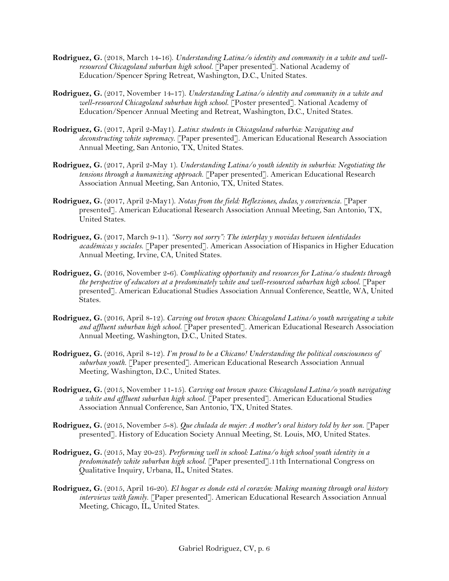- **Rodriguez, G.** (2018, March 14-16). *Understanding Latina/o identity and community in a white and wellresourced Chicagoland suburban high school.* [Paper presented]. National Academy of Education/Spencer Spring Retreat, Washington, D.C., United States.
- **Rodriguez, G.** (2017, November 14-17). *Understanding Latina/o identity and community in a white and well-resourced Chicagoland suburban high school.* [Poster presented]. National Academy of Education/Spencer Annual Meeting and Retreat, Washington, D.C., United States.
- **Rodriguez, G.** (2017, April 2-May1). *Latinx students in Chicagoland suburbia: Navigating and deconstructing white supremacy.* [Paper presented]. American Educational Research Association Annual Meeting, San Antonio, TX, United States.
- **Rodriguez, G.** (2017, April 2-May 1). *Understanding Latina/o youth identity in suburbia: Negotiating the tensions through a humanizing approach.* [Paper presented]. American Educational Research Association Annual Meeting, San Antonio, TX, United States.
- **Rodriguez, G.** (2017, April 2-May1). *Notas from the field: Reflexiones, dudas, y convivencia.* [Paper presented]. American Educational Research Association Annual Meeting, San Antonio, TX, United States.
- **Rodriguez, G.** (2017, March 9-11). *"Sorry not sorry": The interplay y movidas between identidades académicas y sociales.* [Paper presented]. American Association of Hispanics in Higher Education Annual Meeting, Irvine, CA, United States.
- **Rodriguez, G.** (2016, November 2-6). *Complicating opportunity and resources for Latina/o students through the perspective of educators at a predominately white and well-resourced suburban high school.* [Paper presented]. American Educational Studies Association Annual Conference, Seattle, WA, United States.
- **Rodriguez, G.** (2016, April 8-12). *Carving out brown spaces: Chicagoland Latina/o youth navigating a white and affluent suburban high school.* [Paper presented]. American Educational Research Association Annual Meeting, Washington, D.C., United States.
- **Rodriguez, G.** (2016, April 8-12). *I'm proud to be a Chicano! Understanding the political consciousness of suburban youth.* [Paper presented]. American Educational Research Association Annual Meeting, Washington, D.C., United States.
- **Rodriguez, G.** (2015, November 11-15). *Carving out brown spaces: Chicagoland Latina/o youth navigating a white and affluent suburban high school.* [Paper presented]. American Educational Studies Association Annual Conference, San Antonio, TX, United States.
- **Rodriguez, G.** (2015, November 5-8). *Que chulada de mujer: A mother's oral history told by her son.* [Paper presented]. History of Education Society Annual Meeting, St. Louis, MO, United States.
- **Rodriguez, G.** (2015, May 20-23). *Performing well in school: Latina/o high school youth identity in a predominately white suburban high school.* [Paper presented].11th International Congress on Qualitative Inquiry, Urbana, IL, United States.
- **Rodriguez, G.** (2015, April 16-20). *El hogar es donde está el corazón: Making meaning through oral history interviews with family.* [Paper presented]. American Educational Research Association Annual Meeting, Chicago, IL, United States.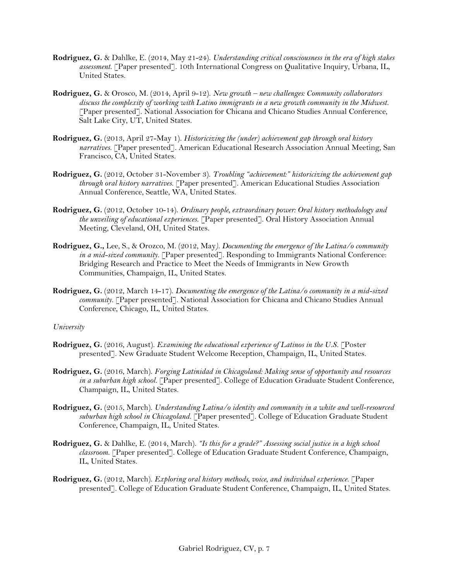- **Rodriguez, G.** & Dahlke, E. (2014, May 21-24). *Understanding critical consciousness in the era of high stakes assessment.* [Paper presented]. 10th International Congress on Qualitative Inquiry, Urbana, IL, United States.
- **Rodriguez, G.** & Orosco, M. (2014, April 9-12). *New growth – new challenges: Community collaborators discuss the complexity of working with Latino immigrants in a new growth community in the Midwest.* [Paper presented]. National Association for Chicana and Chicano Studies Annual Conference, Salt Lake City, UT, United States.
- **Rodriguez, G.** (2013, April 27-May 1). *Historicizing the (under) achievement gap through oral history narratives.* [Paper presented]. American Educational Research Association Annual Meeting, San Francisco, CA, United States.
- **Rodriguez, G.** (2012, October 31-November 3). *Troubling "achievement:" historicizing the achievement gap through oral history narratives.* [Paper presented]. American Educational Studies Association Annual Conference, Seattle, WA, United States.
- **Rodriguez, G.** (2012, October 10-14). *Ordinary people, extraordinary power: Oral history methodology and the unveiling of educational experiences.* [Paper presented]. Oral History Association Annual Meeting, Cleveland, OH, United States.
- **Rodriguez, G.,** Lee, S., & Orozco, M. (2012, May*). Documenting the emergence of the Latina/o community in a mid-sized community.* [Paper presented]. Responding to Immigrants National Conference: Bridging Research and Practice to Meet the Needs of Immigrants in New Growth Communities, Champaign, IL, United States.
- **Rodriguez, G.** (2012, March 14-17). *Documenting the emergence of the Latina/o community in a mid-sized community.* [Paper presented]. National Association for Chicana and Chicano Studies Annual Conference, Chicago, IL, United States.

#### *University*

- **Rodriguez, G.** (2016, August). *Examining the educational experience of Latinos in the U.S.* [Poster presented]. New Graduate Student Welcome Reception, Champaign, IL, United States.
- **Rodriguez, G.** (2016, March). *Forging Latinidad in Chicagoland: Making sense of opportunity and resources in a suburban high school.* [Paper presented]. College of Education Graduate Student Conference, Champaign, IL, United States.
- **Rodriguez, G.** (2015, March). *Understanding Latina/o identity and community in a white and well-resourced suburban high school in Chicagoland.* [Paper presented]. College of Education Graduate Student Conference, Champaign, IL, United States.
- **Rodriguez, G.** & Dahlke, E. (2014, March). *"Is this for a grade?" Assessing social justice in a high school classroom.* [Paper presented]. College of Education Graduate Student Conference, Champaign, IL, United States.
- **Rodriguez, G.** (2012, March). *Exploring oral history methods, voice, and individual experience.* [Paper presented]. College of Education Graduate Student Conference, Champaign, IL, United States.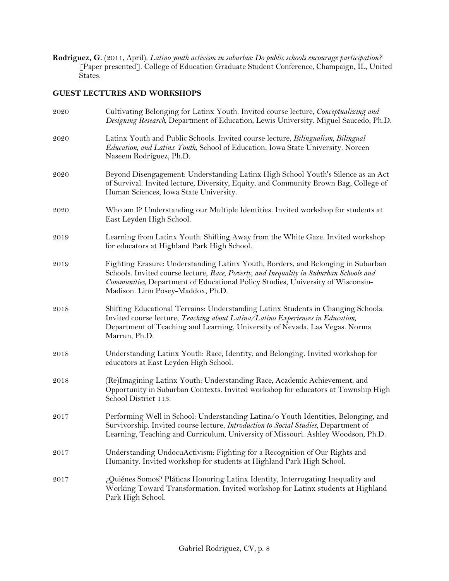**Rodriguez, G.** (2011, April). *Latino youth activism in suburbia: Do public schools encourage participation?* [Paper presented]. College of Education Graduate Student Conference, Champaign, IL, United States.

## **GUEST LECTURES AND WORKSHOPS**

| 2020 | Cultivating Belonging for Latinx Youth. Invited course lecture, Conceptualizing and<br>Designing Research, Department of Education, Lewis University. Miguel Saucedo, Ph.D.                                                                                                                        |
|------|----------------------------------------------------------------------------------------------------------------------------------------------------------------------------------------------------------------------------------------------------------------------------------------------------|
| 2020 | Latinx Youth and Public Schools. Invited course lecture, Bilingualism, Bilingual<br>Education, and Latinx Youth, School of Education, Iowa State University. Noreen<br>Naseem Rodríguez, Ph.D.                                                                                                     |
| 2020 | Beyond Disengagement: Understanding Latinx High School Youth's Silence as an Act<br>of Survival. Invited lecture, Diversity, Equity, and Community Brown Bag, College of<br>Human Sciences, Iowa State University.                                                                                 |
| 2020 | Who am I? Understanding our Multiple Identities. Invited workshop for students at<br>East Leyden High School.                                                                                                                                                                                      |
| 2019 | Learning from Latinx Youth: Shifting Away from the White Gaze. Invited workshop<br>for educators at Highland Park High School.                                                                                                                                                                     |
| 2019 | Fighting Erasure: Understanding Latinx Youth, Borders, and Belonging in Suburban<br>Schools. Invited course lecture, Race, Poverty, and Inequality in Suburban Schools and<br>Communities, Department of Educational Policy Studies, University of Wisconsin-<br>Madison. Linn Posey-Maddox, Ph.D. |
| 2018 | Shifting Educational Terrains: Understanding Latinx Students in Changing Schools.<br>Invited course lecture, Teaching about Latina/Latino Experiences in Education,<br>Department of Teaching and Learning, University of Nevada, Las Vegas. Norma<br>Marrun, Ph.D.                                |
| 2018 | Understanding Latinx Youth: Race, Identity, and Belonging. Invited workshop for<br>educators at East Leyden High School.                                                                                                                                                                           |
| 2018 | (Re)Imagining Latinx Youth: Understanding Race, Academic Achievement, and<br>Opportunity in Suburban Contexts. Invited workshop for educators at Township High<br>School District 113.                                                                                                             |
| 2017 | Performing Well in School: Understanding Latina/o Youth Identities, Belonging, and<br>Survivorship. Invited course lecture, <i>Introduction to Social Studies</i> , Department of<br>Learning, Teaching and Curriculum, University of Missouri. Ashley Woodson, Ph.D.                              |
| 2017 | Understanding UndocuActivism: Fighting for a Recognition of Our Rights and<br>Humanity. Invited workshop for students at Highland Park High School.                                                                                                                                                |
| 2017 | ¿Quiénes Somos? Pláticas Honoring Latinx Identity, Interrogating Inequality and<br>Working Toward Transformation. Invited workshop for Latinx students at Highland<br>Park High School.                                                                                                            |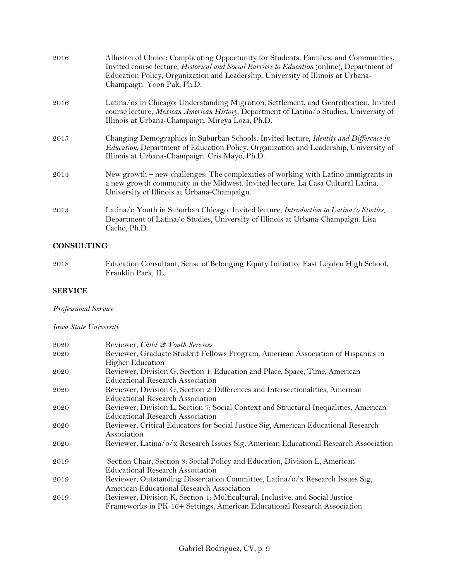| 2016 | Allusion of Choice: Complicating Opportunity for Students, Families, and Communities.<br>Invited course lecture, <i>Historical and Social Barriers to Education</i> (online), Department of<br>Education Policy, Organization and Leadership, University of Illinois at Urbana-<br>Champaign. Yoon Pak, Ph.D. |
|------|---------------------------------------------------------------------------------------------------------------------------------------------------------------------------------------------------------------------------------------------------------------------------------------------------------------|
| 2016 | Latina/os in Chicago: Understanding Migration, Settlement, and Gentrification. Invited<br>course lecture, Mexican American History, Department of Latina/o Studies, University of<br>Illinois at Urbana-Champaign. Mireya Loza, Ph.D.                                                                         |
| 2015 | Changing Demographics in Suburban Schools. Invited lecture, <i>Identity and Difference in</i><br>Education, Department of Education Policy, Organization and Leadership, University of<br>Illinois at Urbana-Champaign. Cris Mayo, Ph.D.                                                                      |
| 2014 | New growth – new challenges: The complexities of working with Latino immigrants in<br>a new growth community in the Midwest. Invited lecture, La Casa Cultural Latina,<br>University of Illinois at Urbana-Champaign.                                                                                         |
| 2013 | Latina/o Youth in Suburban Chicago. Invited lecture, Introduction to Latina/o Studies,<br>Department of Latina/o Studies, University of Illinois at Urbana-Champaign. Lisa<br>Cacho, Ph.D.                                                                                                                    |

## **CONSULTING**

2018 Education Consultant, Sense of Belonging Equity Initiative East Leyden High School, Franklin Park, IL.

## **SERVICE**

# *Professional Service*

# *Iowa State University*

| 2020 | Reviewer, Child & Youth Services                                                      |
|------|---------------------------------------------------------------------------------------|
| 2020 | Reviewer, Graduate Student Fellows Program, American Association of Hispanics in      |
|      | <b>Higher Education</b>                                                               |
| 2020 | Reviewer, Division G, Section 1: Education and Place, Space, Time, American           |
|      | Educational Research Association                                                      |
| 2020 | Reviewer, Division G, Section 2: Differences and Intersectionalities, American        |
|      | Educational Research Association                                                      |
| 2020 | Reviewer, Division L, Section 7: Social Context and Structural Inequalities, American |
|      | Educational Research Association                                                      |
| 2020 | Reviewer, Critical Educators for Social Justice Sig, American Educational Research    |
|      | Association                                                                           |
| 2020 | Reviewer, Latina/o/x Research Issues Sig, American Educational Research Association   |
| 2019 | Section Chair, Section 8: Social Policy and Education, Division L, American           |
|      | Educational Research Association                                                      |
| 2019 | Reviewer, Outstanding Dissertation Committee, Latina/o/x Research Issues Sig,         |
|      | American Educational Research Association                                             |
| 2019 | Reviewer, Division K, Section 4: Multicultural, Inclusive, and Social Justice         |
|      | Frameworks in PK-16+ Settings, American Educational Research Association              |
|      |                                                                                       |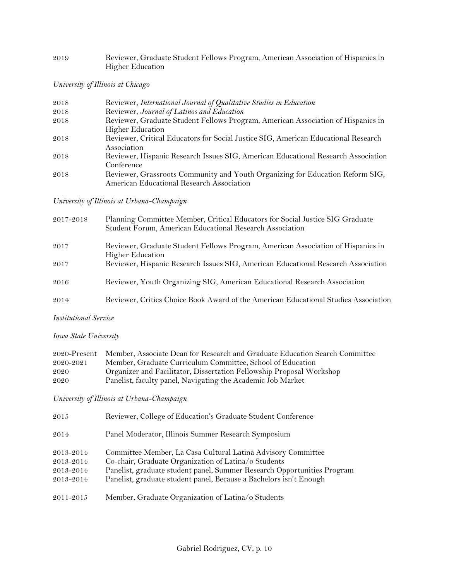## 2019 Reviewer, Graduate Student Fellows Program, American Association of Hispanics in Higher Education

*University of Illinois at Chicago*

| 2018 | Reviewer, International Journal of Qualitative Studies in Education                |
|------|------------------------------------------------------------------------------------|
| 2018 | Reviewer, Journal of Latinos and Education                                         |
| 2018 | Reviewer, Graduate Student Fellows Program, American Association of Hispanics in   |
|      | <b>Higher Education</b>                                                            |
| 2018 | Reviewer, Critical Educators for Social Justice SIG, American Educational Research |
|      | Association                                                                        |
| 2018 | Reviewer, Hispanic Research Issues SIG, American Educational Research Association  |
|      | Conference                                                                         |
| 2018 | Reviewer, Grassroots Community and Youth Organizing for Education Reform SIG,      |
|      | American Educational Research Association                                          |

*University of Illinois at Urbana-Champaign*

| 2017-2018 | Planning Committee Member, Critical Educators for Social Justice SIG Graduate<br>Student Forum, American Educational Research Association |
|-----------|-------------------------------------------------------------------------------------------------------------------------------------------|
| 2017      | Reviewer, Graduate Student Fellows Program, American Association of Hispanics in<br><b>Higher Education</b>                               |
| 2017      | Reviewer, Hispanic Research Issues SIG, American Educational Research Association                                                         |
| 2016      | Reviewer, Youth Organizing SIG, American Educational Research Association                                                                 |
| 2014      | Reviewer, Critics Choice Book Award of the American Educational Studies Association                                                       |

*Institutional Service*

*Iowa State University* 

|           | 2020-Present Member, Associate Dean for Research and Graduate Education Search Committee |
|-----------|------------------------------------------------------------------------------------------|
| 2020-2021 | Member, Graduate Curriculum Committee, School of Education                               |
| 2020      | Organizer and Facilitator, Dissertation Fellowship Proposal Workshop                     |
| 2020      | Panelist, faculty panel, Navigating the Academic Job Market                              |

*University of Illinois at Urbana-Champaign*

| 2015      | Reviewer, College of Education's Graduate Student Conference            |
|-----------|-------------------------------------------------------------------------|
| 2014      | Panel Moderator, Illinois Summer Research Symposium                     |
| 2013-2014 | Committee Member, La Casa Cultural Latina Advisory Committee            |
| 2013-2014 | Co-chair, Graduate Organization of Latina/o Students                    |
| 2013-2014 | Panelist, graduate student panel, Summer Research Opportunities Program |
| 2013-2014 | Panelist, graduate student panel, Because a Bachelors isn't Enough      |
| 2011-2015 | Member, Graduate Organization of Latina/o Students                      |